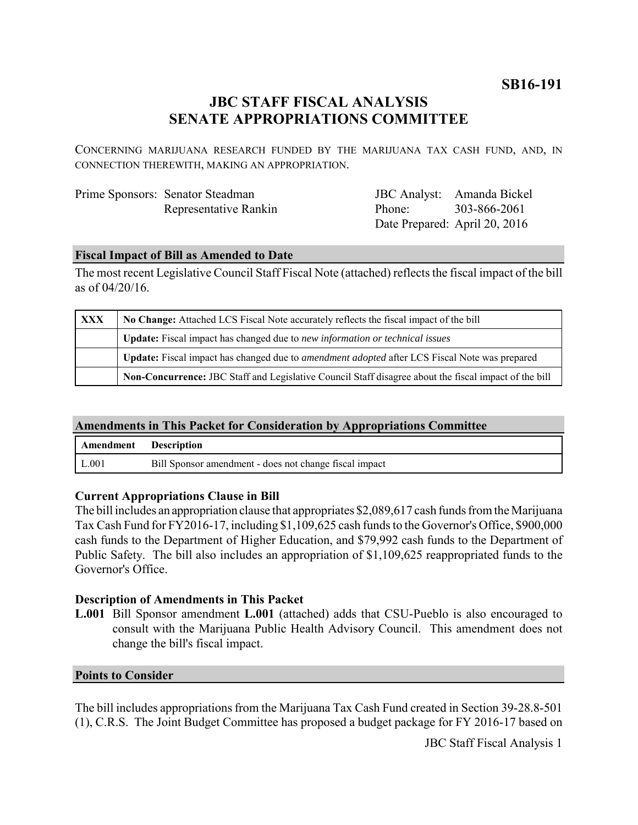**SB16-191**

# **JBC STAFF FISCAL ANALYSIS SENATE APPROPRIATIONS COMMITTEE**

CONCERNING MARIJUANA RESEARCH FUNDED BY THE MARIJUANA TAX CASH FUND, AND, IN CONNECTION THEREWITH, MAKING AN APPROPRIATION.

| Prime Sponsors: Senator Steadman |
|----------------------------------|
| Representative Rankin            |

JBC Analyst: Amanda Bickel Phone: Date Prepared: April 20, 2016 303-866-2061

### **Fiscal Impact of Bill as Amended to Date**

The most recent Legislative Council Staff Fiscal Note (attached) reflects the fiscal impact of the bill as of 04/20/16.

| XXX | No Change: Attached LCS Fiscal Note accurately reflects the fiscal impact of the bill                 |  |
|-----|-------------------------------------------------------------------------------------------------------|--|
|     | <b>Update:</b> Fiscal impact has changed due to new information or technical issues                   |  |
|     | Update: Fiscal impact has changed due to <i>amendment adopted</i> after LCS Fiscal Note was prepared  |  |
|     | Non-Concurrence: JBC Staff and Legislative Council Staff disagree about the fiscal impact of the bill |  |

## **Amendments in This Packet for Consideration by Appropriations Committee**

| Amendment Description |                                                        |
|-----------------------|--------------------------------------------------------|
| L.001                 | Bill Sponsor amendment - does not change fiscal impact |

#### **Current Appropriations Clause in Bill**

The bill includes an appropriation clause that appropriates \$2,089,617 cash funds from the Marijuana Tax Cash Fund for FY2016-17, including \$1,109,625 cash funds to the Governor's Office, \$900,000 cash funds to the Department of Higher Education, and \$79,992 cash funds to the Department of Public Safety. The bill also includes an appropriation of \$1,109,625 reappropriated funds to the Governor's Office.

#### **Description of Amendments in This Packet**

**L.001** Bill Sponsor amendment **L.001** (attached) adds that CSU-Pueblo is also encouraged to consult with the Marijuana Public Health Advisory Council. This amendment does not change the bill's fiscal impact.

#### **Points to Consider**

The bill includes appropriations from the Marijuana Tax Cash Fund created in Section 39-28.8-501 (1), C.R.S. The Joint Budget Committee has proposed a budget package for FY 2016-17 based on